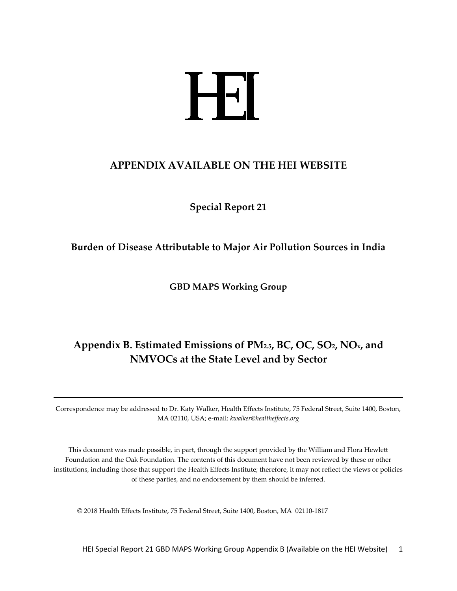

## **APPENDIX AVAILABLE ON THE HEI WEBSITE**

**Special Report 21**

**Burden of Disease Attributable to Major Air Pollution Sources in India**

**GBD MAPS Working Group**

## **Appendix B. Estimated Emissions of PM2.5, BC, OC, SO2, NOx, and NMVOCs at the State Level and by Sector**

Correspondence may be addressed to Dr. Katy Walker, Health Effects Institute, 75 Federal Street, Suite 1400, Boston, MA 02110, USA; e-mail: *kwalker@healtheffects.org*

This document was made possible, in part, through the support provided by the William and Flora Hewlett Foundation and the Oak Foundation. The contents of this document have not been reviewed by these or other institutions, including those that support the Health Effects Institute; therefore, it may not reflect the views or policies of these parties, and no endorsement by them should be inferred.

© 2018 Health Effects Institute, 75 Federal Street, Suite 1400, Boston, MA 02110-1817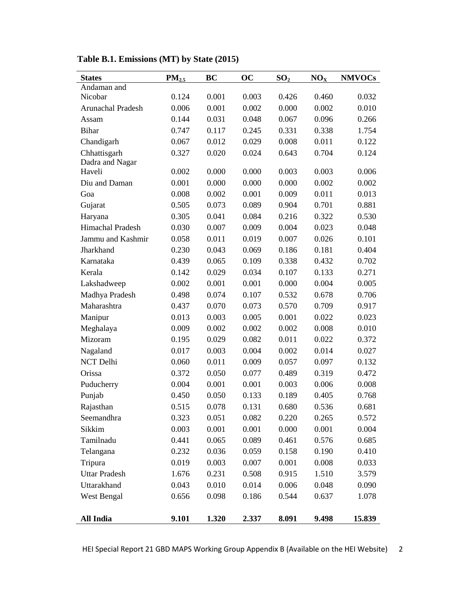| <b>States</b>        | PM <sub>2.5</sub> | BC    | $\overline{OC}$ | SO <sub>2</sub> | NO <sub>x</sub> | <b>NMVOCs</b> |
|----------------------|-------------------|-------|-----------------|-----------------|-----------------|---------------|
| Andaman and          |                   |       |                 |                 |                 |               |
| Nicobar              | 0.124             | 0.001 | 0.003           | 0.426           | 0.460           | 0.032         |
| Arunachal Pradesh    | 0.006             | 0.001 | 0.002           | 0.000           | 0.002           | 0.010         |
| Assam                | 0.144             | 0.031 | 0.048           | 0.067           | 0.096           | 0.266         |
| <b>Bihar</b>         | 0.747             | 0.117 | 0.245           | 0.331           | 0.338           | 1.754         |
| Chandigarh           | 0.067             | 0.012 | 0.029           | 0.008           | 0.011           | 0.122         |
| Chhattisgarh         | 0.327             | 0.020 | 0.024           | 0.643           | 0.704           | 0.124         |
| Dadra and Nagar      |                   |       |                 |                 |                 |               |
| Haveli               | 0.002             | 0.000 | 0.000           | 0.003           | 0.003           | 0.006         |
| Diu and Daman        | 0.001             | 0.000 | 0.000           | 0.000           | 0.002           | 0.002         |
| Goa                  | 0.008             | 0.002 | 0.001           | 0.009           | 0.011           | 0.013         |
| Gujarat              | 0.505             | 0.073 | 0.089           | 0.904           | 0.701           | 0.881         |
| Haryana              | 0.305             | 0.041 | 0.084           | 0.216           | 0.322           | 0.530         |
| Himachal Pradesh     | 0.030             | 0.007 | 0.009           | 0.004           | 0.023           | 0.048         |
| Jammu and Kashmir    | 0.058             | 0.011 | 0.019           | 0.007           | 0.026           | 0.101         |
| Jharkhand            | 0.230             | 0.043 | 0.069           | 0.186           | 0.181           | 0.404         |
| Karnataka            | 0.439             | 0.065 | 0.109           | 0.338           | 0.432           | 0.702         |
| Kerala               | 0.142             | 0.029 | 0.034           | 0.107           | 0.133           | 0.271         |
| Lakshadweep          | 0.002             | 0.001 | 0.001           | 0.000           | 0.004           | 0.005         |
| Madhya Pradesh       | 0.498             | 0.074 | 0.107           | 0.532           | 0.678           | 0.706         |
| Maharashtra          | 0.437             | 0.070 | 0.073           | 0.570           | 0.709           | 0.917         |
| Manipur              | 0.013             | 0.003 | 0.005           | 0.001           | 0.022           | 0.023         |
| Meghalaya            | 0.009             | 0.002 | 0.002           | 0.002           | 0.008           | 0.010         |
| Mizoram              | 0.195             | 0.029 | 0.082           | 0.011           | 0.022           | 0.372         |
| Nagaland             | 0.017             | 0.003 | 0.004           | 0.002           | 0.014           | 0.027         |
| NCT Delhi            | 0.060             | 0.011 | 0.009           | 0.057           | 0.097           | 0.132         |
| Orissa               | 0.372             | 0.050 | 0.077           | 0.489           | 0.319           | 0.472         |
| Puducherry           | 0.004             | 0.001 | 0.001           | 0.003           | 0.006           | 0.008         |
| Punjab               | 0.450             | 0.050 | 0.133           | 0.189           | 0.405           | 0.768         |
| Rajasthan            | 0.515             | 0.078 | 0.131           | 0.680           | 0.536           | 0.681         |
| Seemandhra           | 0.323             | 0.051 | 0.082           | 0.220           | 0.265           | 0.572         |
| Sikkim               | 0.003             | 0.001 | 0.001           | 0.000           | 0.001           | 0.004         |
| Tamilnadu            | 0.441             | 0.065 | 0.089           | 0.461           | 0.576           | 0.685         |
| Telangana            | 0.232             | 0.036 | 0.059           | 0.158           | 0.190           | 0.410         |
| Tripura              | 0.019             | 0.003 | 0.007           | 0.001           | 0.008           | 0.033         |
| <b>Uttar Pradesh</b> | 1.676             | 0.231 | 0.508           | 0.915           | 1.510           | 3.579         |
| Uttarakhand          | 0.043             | 0.010 | 0.014           | 0.006           | 0.048           | 0.090         |
| West Bengal          | 0.656             | 0.098 | 0.186           | 0.544           | 0.637           | 1.078         |
|                      |                   |       |                 |                 |                 |               |
| All India            | 9.101             | 1.320 | 2.337           | 8.091           | 9.498           | 15.839        |

**Table B.1. Emissions (MT) by State (2015)**